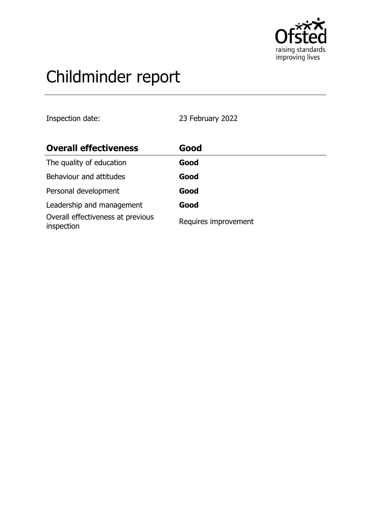

# Childminder report

Inspection date: 23 February 2022

| <b>Overall effectiveness</b>                    | Good                 |
|-------------------------------------------------|----------------------|
| The quality of education                        | Good                 |
| Behaviour and attitudes                         | Good                 |
| Personal development                            | Good                 |
| Leadership and management                       | Good                 |
| Overall effectiveness at previous<br>inspection | Requires improvement |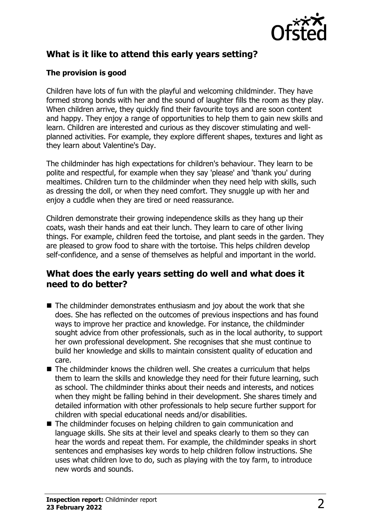

# **What is it like to attend this early years setting?**

### **The provision is good**

Children have lots of fun with the playful and welcoming childminder. They have formed strong bonds with her and the sound of laughter fills the room as they play. When children arrive, they quickly find their favourite toys and are soon content and happy. They enjoy a range of opportunities to help them to gain new skills and learn. Children are interested and curious as they discover stimulating and wellplanned activities. For example, they explore different shapes, textures and light as they learn about Valentine's Day.

The childminder has high expectations for children's behaviour. They learn to be polite and respectful, for example when they say 'please' and 'thank you' during mealtimes. Children turn to the childminder when they need help with skills, such as dressing the doll, or when they need comfort. They snuggle up with her and enjoy a cuddle when they are tired or need reassurance.

Children demonstrate their growing independence skills as they hang up their coats, wash their hands and eat their lunch. They learn to care of other living things. For example, children feed the tortoise, and plant seeds in the garden. They are pleased to grow food to share with the tortoise. This helps children develop self-confidence, and a sense of themselves as helpful and important in the world.

## **What does the early years setting do well and what does it need to do better?**

- $\blacksquare$  The childminder demonstrates enthusiasm and joy about the work that she does. She has reflected on the outcomes of previous inspections and has found ways to improve her practice and knowledge. For instance, the childminder sought advice from other professionals, such as in the local authority, to support her own professional development. She recognises that she must continue to build her knowledge and skills to maintain consistent quality of education and care.
- $\blacksquare$  The childminder knows the children well. She creates a curriculum that helps them to learn the skills and knowledge they need for their future learning, such as school. The childminder thinks about their needs and interests, and notices when they might be falling behind in their development. She shares timely and detailed information with other professionals to help secure further support for children with special educational needs and/or disabilities.
- The childminder focuses on helping children to gain communication and language skills. She sits at their level and speaks clearly to them so they can hear the words and repeat them. For example, the childminder speaks in short sentences and emphasises key words to help children follow instructions. She uses what children love to do, such as playing with the toy farm, to introduce new words and sounds.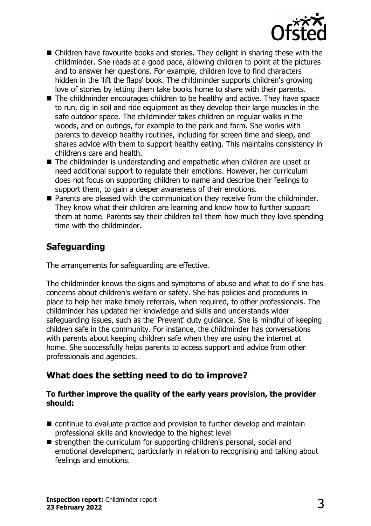

- $\blacksquare$  Children have favourite books and stories. They delight in sharing these with the childminder. She reads at a good pace, allowing children to point at the pictures and to answer her questions. For example, children love to find characters hidden in the 'lift the flaps' book. The childminder supports children's growing love of stories by letting them take books home to share with their parents.
- $\blacksquare$  The childminder encourages children to be healthy and active. They have space to run, dig in soil and ride equipment as they develop their large muscles in the safe outdoor space. The childminder takes children on regular walks in the woods, and on outings, for example to the park and farm. She works with parents to develop healthy routines, including for screen time and sleep, and shares advice with them to support healthy eating. This maintains consistency in children's care and health.
- $\blacksquare$  The childminder is understanding and empathetic when children are upset or need additional support to regulate their emotions. However, her curriculum does not focus on supporting children to name and describe their feelings to support them, to gain a deeper awareness of their emotions.
- $\blacksquare$  Parents are pleased with the communication they receive from the childminder. They know what their children are learning and know how to further support them at home. Parents say their children tell them how much they love spending time with the childminder.

# **Safeguarding**

The arrangements for safeguarding are effective.

The childminder knows the signs and symptoms of abuse and what to do if she has concerns about children's welfare or safety. She has policies and procedures in place to help her make timely referrals, when required, to other professionals. The childminder has updated her knowledge and skills and understands wider safeguarding issues, such as the 'Prevent' duty guidance. She is mindful of keeping children safe in the community. For instance, the childminder has conversations with parents about keeping children safe when they are using the internet at home. She successfully helps parents to access support and advice from other professionals and agencies.

# **What does the setting need to do to improve?**

#### **To further improve the quality of the early years provision, the provider should:**

- $\blacksquare$  continue to evaluate practice and provision to further develop and maintain professional skills and knowledge to the highest level
- $\blacksquare$  strengthen the curriculum for supporting children's personal, social and emotional development, particularly in relation to recognising and talking about feelings and emotions.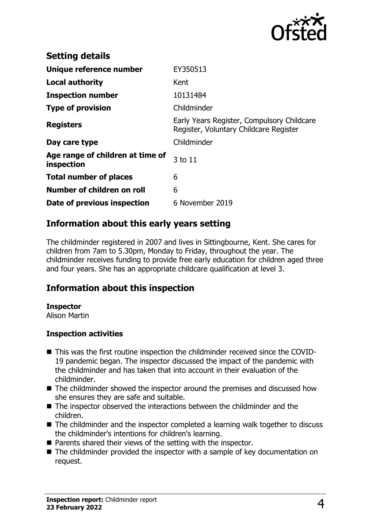

| <b>Setting details</b>                         |                                                                                      |
|------------------------------------------------|--------------------------------------------------------------------------------------|
| Unique reference number                        | EY350513                                                                             |
| <b>Local authority</b>                         | Kent                                                                                 |
| <b>Inspection number</b>                       | 10131484                                                                             |
| <b>Type of provision</b>                       | Childminder                                                                          |
| <b>Registers</b>                               | Early Years Register, Compulsory Childcare<br>Register, Voluntary Childcare Register |
| Day care type                                  | Childminder                                                                          |
| Age range of children at time of<br>inspection | 3 to 11                                                                              |
| <b>Total number of places</b>                  | 6                                                                                    |
| Number of children on roll                     | 6                                                                                    |
| Date of previous inspection                    | 6 November 2019                                                                      |

## **Information about this early years setting**

The childminder registered in 2007 and lives in Sittingbourne, Kent. She cares for children from 7am to 5.30pm, Monday to Friday, throughout the year. The childminder receives funding to provide free early education for children aged three and four years. She has an appropriate childcare qualification at level 3.

## **Information about this inspection**

#### **Inspector**

Alison Martin

#### **Inspection activities**

- This was the first routine inspection the childminder received since the COVID-19 pandemic began. The inspector discussed the impact of the pandemic with the childminder and has taken that into account in their evaluation of the childminder.
- $\blacksquare$  The childminder showed the inspector around the premises and discussed how she ensures they are safe and suitable.
- $\blacksquare$  The inspector observed the interactions between the childminder and the children.
- $\blacksquare$  The childminder and the inspector completed a learning walk together to discuss the childminder's intentions for children's learning.
- $\blacksquare$  Parents shared their views of the setting with the inspector.
- $\blacksquare$  The childminder provided the inspector with a sample of key documentation on request.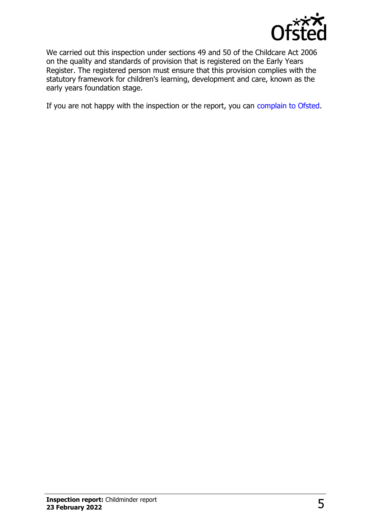

We carried out this inspection under sections 49 and 50 of the Childcare Act 2006 on the quality and standards of provision that is registered on the Early Years Register. The registered person must ensure that this provision complies with the statutory framework for children's learning, development and care, known as the early years foundation stage.

If you are not happy with the inspection or the report, you can [complain to Ofsted](http://www.gov.uk/complain-ofsted-report).